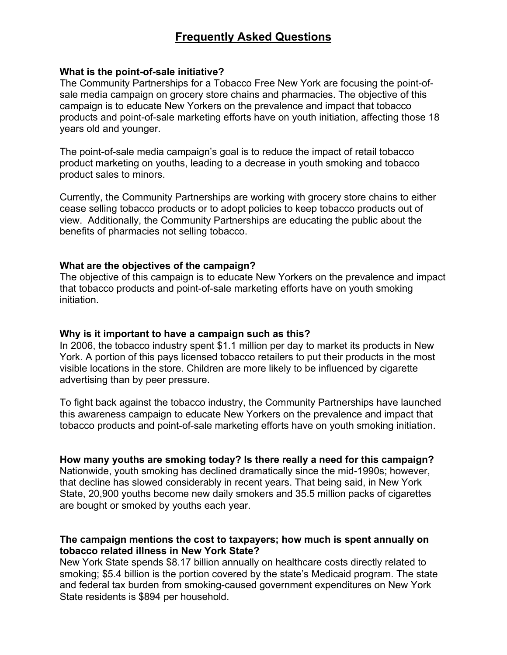# **Frequently Asked Questions**

#### **What is the point-of-sale initiative?**

The Community Partnerships for a Tobacco Free New York are focusing the point-ofsale media campaign on grocery store chains and pharmacies. The objective of this campaign is to educate New Yorkers on the prevalence and impact that tobacco products and point-of-sale marketing efforts have on youth initiation, affecting those 18 years old and younger.

The point-of-sale media campaign's goal is to reduce the impact of retail tobacco product marketing on youths, leading to a decrease in youth smoking and tobacco product sales to minors.

Currently, the Community Partnerships are working with grocery store chains to either cease selling tobacco products or to adopt policies to keep tobacco products out of view. Additionally, the Community Partnerships are educating the public about the benefits of pharmacies not selling tobacco.

#### **What are the objectives of the campaign?**

The objective of this campaign is to educate New Yorkers on the prevalence and impact that tobacco products and point-of-sale marketing efforts have on youth smoking initiation.

#### **Why is it important to have a campaign such as this?**

In 2006, the tobacco industry spent \$1.1 million per day to market its products in New York. A portion of this pays licensed tobacco retailers to put their products in the most visible locations in the store. Children are more likely to be influenced by cigarette advertising than by peer pressure.

To fight back against the tobacco industry, the Community Partnerships have launched this awareness campaign to educate New Yorkers on the prevalence and impact that tobacco products and point-of-sale marketing efforts have on youth smoking initiation.

**How many youths are smoking today? Is there really a need for this campaign?** Nationwide, youth smoking has declined dramatically since the mid-1990s; however, that decline has slowed considerably in recent years. That being said, in New York State, 20,900 youths become new daily smokers and 35.5 million packs of cigarettes

are bought or smoked by youths each year.

## **The campaign mentions the cost to taxpayers; how much is spent annually on tobacco related illness in New York State?**

New York State spends \$8.17 billion annually on healthcare costs directly related to smoking; \$5.4 billion is the portion covered by the state's Medicaid program. The state and federal tax burden from smoking-caused government expenditures on New York State residents is \$894 per household.